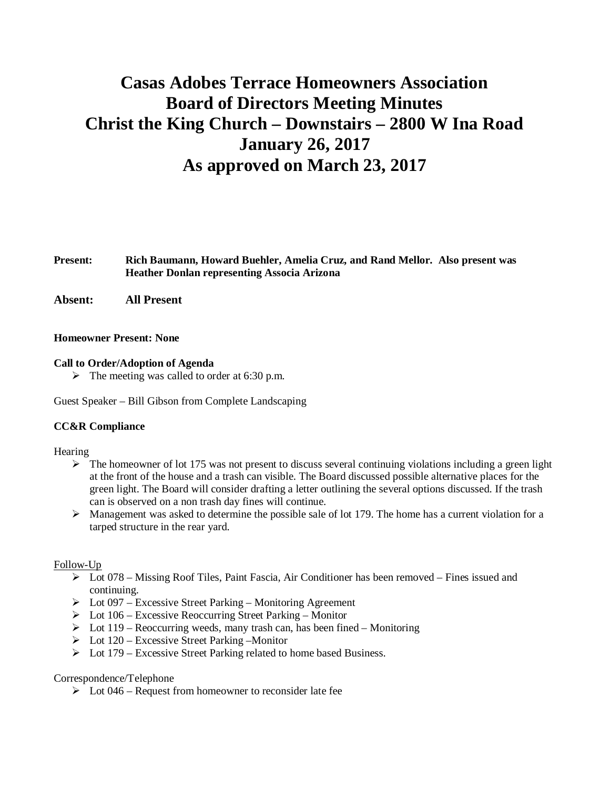# **Casas Adobes Terrace Homeowners Association Board of Directors Meeting Minutes Christ the King Church – Downstairs – 2800 W Ina Road January 26, 2017 As approved on March 23, 2017**

## **Present: Rich Baumann, Howard Buehler, Amelia Cruz, and Rand Mellor. Also present was Heather Donlan representing Associa Arizona**

**Absent: All Present**

#### **Homeowner Present: None**

#### **Call to Order/Adoption of Agenda**

 $\triangleright$  The meeting was called to order at 6:30 p.m.

Guest Speaker – Bill Gibson from Complete Landscaping

## **CC&R Compliance**

Hearing

- $\triangleright$  The homeowner of lot 175 was not present to discuss several continuing violations including a green light at the front of the house and a trash can visible. The Board discussed possible alternative places for the green light. The Board will consider drafting a letter outlining the several options discussed. If the trash can is observed on a non trash day fines will continue.
- $\triangleright$  Management was asked to determine the possible sale of lot 179. The home has a current violation for a tarped structure in the rear yard.

#### Follow-Up

- $\triangleright$  Lot 078 Missing Roof Tiles, Paint Fascia, Air Conditioner has been removed Fines issued and continuing.
- $\triangleright$  Lot 097 Excessive Street Parking Monitoring Agreement
- $\triangleright$  Lot 106 Excessive Reoccurring Street Parking Monitor
- $\triangleright$  Lot 119 Reoccurring weeds, many trash can, has been fined Monitoring
- $\triangleright$  Lot 120 Excessive Street Parking –Monitor
- $\triangleright$  Lot 179 Excessive Street Parking related to home based Business.

#### Correspondence/Telephone

 $\triangleright$  Lot 046 – Request from homeowner to reconsider late fee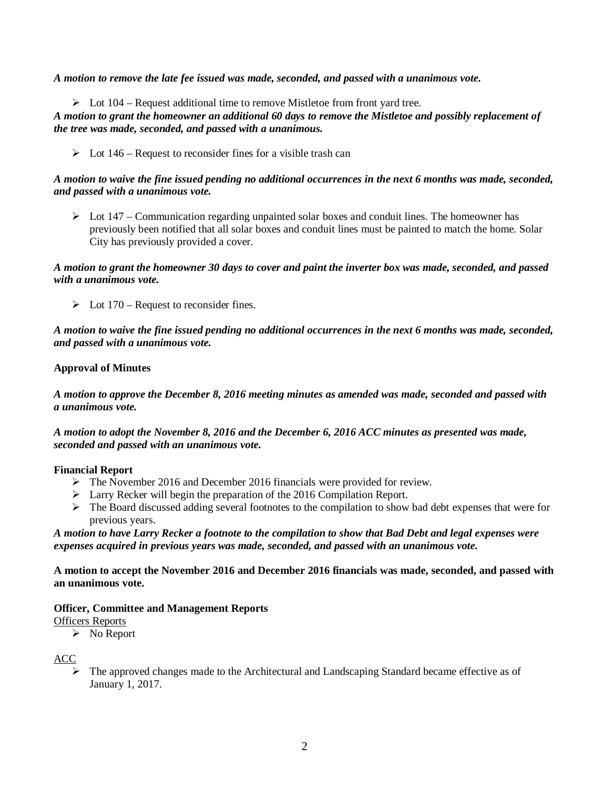*A motion to remove the late fee issued was made, seconded, and passed with a unanimous vote.*

 $\triangleright$  Lot 104 – Request additional time to remove Mistletoe from front yard tree.

*A motion to grant the homeowner an additional 60 days to remove the Mistletoe and possibly replacement of the tree was made, seconded, and passed with a unanimous.*

 $\triangleright$  Lot 146 – Request to reconsider fines for a visible trash can

## *A motion to waive the fine issued pending no additional occurrences in the next 6 months was made, seconded, and passed with a unanimous vote.*

 $\triangleright$  Lot 147 – Communication regarding unpainted solar boxes and conduit lines. The homeowner has previously been notified that all solar boxes and conduit lines must be painted to match the home. Solar City has previously provided a cover.

## *A motion to grant the homeowner 30 days to cover and paint the inverter box was made, seconded, and passed with a unanimous vote.*

 $\triangleright$  Lot 170 – Request to reconsider fines.

*A motion to waive the fine issued pending no additional occurrences in the next 6 months was made, seconded, and passed with a unanimous vote.*

## **Approval of Minutes**

*A motion to approve the December 8, 2016 meeting minutes as amended was made, seconded and passed with a unanimous vote.*

*A motion to adopt the November 8, 2016 and the December 6, 2016 ACC minutes as presented was made, seconded and passed with an unanimous vote.*

## **Financial Report**

- Ø The November 2016 and December 2016 financials were provided for review.
- $\triangleright$  Larry Recker will begin the preparation of the 2016 Compilation Report.
- $\triangleright$  The Board discussed adding several footnotes to the compilation to show bad debt expenses that were for previous years.

## *A motion to have Larry Recker a footnote to the compilation to show that Bad Debt and legal expenses were expenses acquired in previous years was made, seconded, and passed with an unanimous vote.*

**A motion to accept the November 2016 and December 2016 financials was made, seconded, and passed with an unanimous vote.**

## **Officer, Committee and Management Reports**

## Officers Reports

 $\triangleright$  No Report

## ACC

Ø The approved changes made to the Architectural and Landscaping Standard became effective as of January 1, 2017.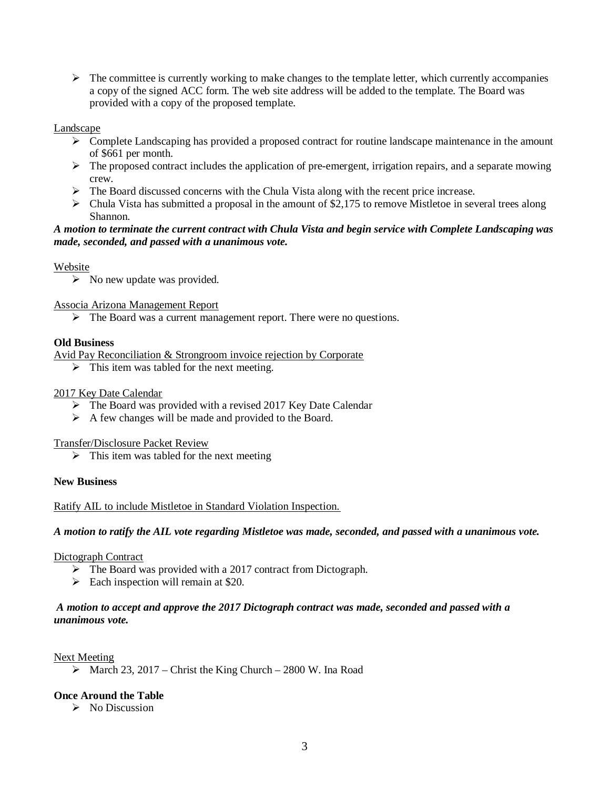$\triangleright$  The committee is currently working to make changes to the template letter, which currently accompanies a copy of the signed ACC form. The web site address will be added to the template. The Board was provided with a copy of the proposed template.

#### Landscape

- $\triangleright$  Complete Landscaping has provided a proposed contract for routine landscape maintenance in the amount of \$661 per month.
- $\triangleright$  The proposed contract includes the application of pre-emergent, irrigation repairs, and a separate mowing crew.
- $\triangleright$  The Board discussed concerns with the Chula Vista along with the recent price increase.
- $\triangleright$  Chula Vista has submitted a proposal in the amount of \$2,175 to remove Mistletoe in several trees along Shannon.

## *A motion to terminate the current contract with Chula Vista and begin service with Complete Landscaping was made, seconded, and passed with a unanimous vote.*

## Website

 $\triangleright$  No new update was provided.

Associa Arizona Management Report

 $\triangleright$  The Board was a current management report. There were no questions.

#### **Old Business**

Avid Pay Reconciliation & Strongroom invoice rejection by Corporate

 $\triangleright$  This item was tabled for the next meeting.

#### 2017 Key Date Calendar

- $\triangleright$  The Board was provided with a revised 2017 Key Date Calendar
- $\triangleright$  A few changes will be made and provided to the Board.

Transfer/Disclosure Packet Review

 $\triangleright$  This item was tabled for the next meeting

#### **New Business**

Ratify AIL to include Mistletoe in Standard Violation Inspection.

*A motion to ratify the AIL vote regarding Mistletoe was made, seconded, and passed with a unanimous vote.*

Dictograph Contract

- $\triangleright$  The Board was provided with a 2017 contract from Dictograph.
- $\triangleright$  Each inspection will remain at \$20.

## *A motion to accept and approve the 2017 Dictograph contract was made, seconded and passed with a unanimous vote.*

#### Next Meeting

 $\triangleright$  March 23, 2017 – Christ the King Church – 2800 W. Ina Road

## **Once Around the Table**

 $\triangleright$  No Discussion